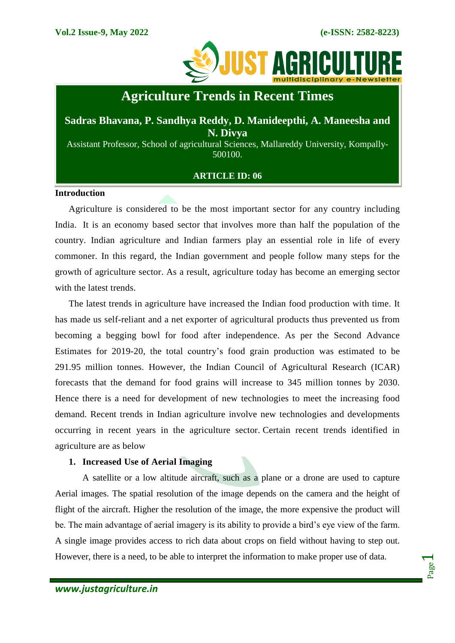

# **Agriculture Trends in Recent Times**

# **Sadras Bhavana, P. Sandhya Reddy, D. Manideepthi, A. Maneesha and N. Divya**

Assistant Professor, School of agricultural Sciences, Mallareddy University, Kompally-500100.

# **ARTICLE ID: 06**

#### **Introduction**

Agriculture is considered to be the most important sector for any country including India. It is an economy based sector that involves more than half the population of the country. Indian agriculture and Indian farmers play an essential role in life of every commoner. In this regard, the Indian government and people follow many steps for the growth of agriculture sector. As a result, agriculture today has become an emerging sector with the latest trends.

The latest trends in agriculture have increased the Indian food production with time. It has made us self-reliant and a net exporter of agricultural products thus prevented us from becoming a begging bowl for food after independence. As per the Second Advance Estimates for 2019-20, the total country's food grain production was estimated to be 291.95 million tonnes. However, the Indian Council of Agricultural Research (ICAR) forecasts that the demand for food grains will increase to 345 million tonnes by 2030. Hence there is a need for development of new technologies to meet the increasing food demand. Recent trends in Indian agriculture involve new technologies and developments occurring in recent years in the agriculture sector. Certain recent trends identified in agriculture are as below

# **1. Increased Use of Aerial Imaging**

A satellite or a low altitude aircraft, such as a plane or a drone are used to capture Aerial images. The spatial resolution of the image depends on the camera and the height of flight of the aircraft. Higher the resolution of the image, the more expensive the product will be. The main advantage of aerial imagery is its ability to provide a bird's eye view of the farm. A single image provides access to rich data about crops on field without having to step out. However, there is a need, to be able to interpret the information to make proper use of data.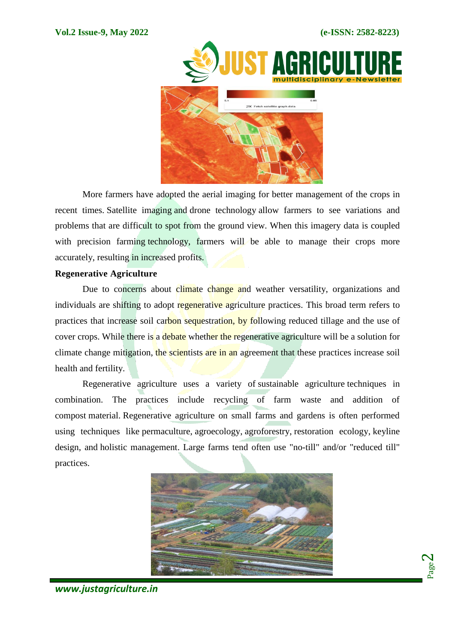Page  $\boldsymbol{\sim}$ 



More farmers have adopted the aerial imaging for better management of the crops in recent times. [Satellite](https://agriculture.trimble.com/blog/harness-the-power-of-satellite-imagery-this-crop-season/) imaging and drone [technology](https://agriculture.trimble.com/blog/trimble-select-introduces-sensefly-for-aerial-imaging/) allow farmers to see variations and problems that are difficult to spot from the ground view. When this imagery data is coupled with precision farming technology, farmers will be able to manage their crops more accurately, resulting in increased profits.

# **Regenerative Agriculture**

Due to concerns about climate change and weather versatility, organizations and individuals are shifting to adopt regenerative agriculture practices. This broad term refers to practices that increase soil carbon sequestration, by following reduced tillage and the use of cover crops. While there is a debate whether the regenerative agriculture will be a solution for climate change mitigation, the [scientists](https://www.nature.com/articles/s41893-019-0431-y) are in an agreement that these practices increase soil health and fertility.

Regenerative agriculture uses a variety of [sustainable agriculture](https://en.wikipedia.org/wiki/Sustainable_agriculture) techniques in combination. The practices include recycling of farm waste and addition of compost material. Regenerative agriculture on small farms and gardens is often performed using techniques like [permaculture,](https://en.wikipedia.org/wiki/Permaculture) [agroecology,](https://en.wikipedia.org/wiki/Agroecology) [agroforestry,](https://en.wikipedia.org/wiki/Agroforestry) [restoration ecology,](https://en.wikipedia.org/wiki/Restoration_ecology) [keyline](https://en.wikipedia.org/wiki/Keyline_design)  [design,](https://en.wikipedia.org/wiki/Keyline_design) and [holistic management.](https://en.wikipedia.org/wiki/Holistic_management_(agriculture)) Large farms tend often use ["no-till"](https://en.wikipedia.org/wiki/No-till_farming) and/or "reduced till" practices.



*www.justagriculture.in*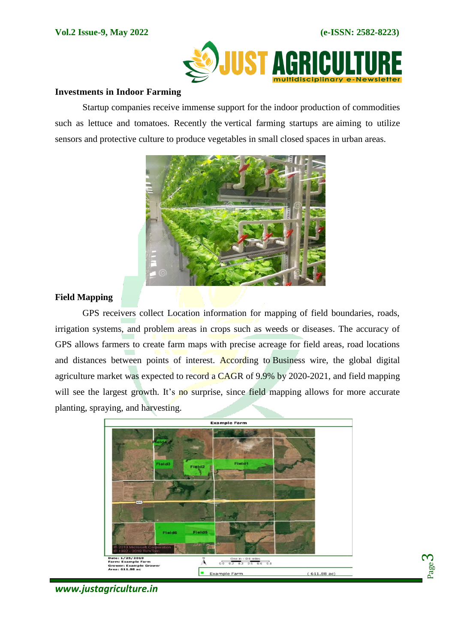

## **Investments in Indoor Farming**

Startup companies receive immense support for the indoor production of commodities such as lettuce and tomatoes. Recently the vertical [farming](https://techcrunch.com/2020/08/20/agtech-startup-ifarm-bags-4m-to-help-vertical-farms-grow-more-tasty-stuff/) startups are aiming to utilize sensors and protective culture to produce vegetables in small closed spaces in urban areas.



# **Field Mapping**

GPS receivers collect Location information for mapping of field boundaries, roads, irrigation systems, and problem areas in crops such as weeds or diseases. The accuracy of GPS allows farmers to create farm maps with precise acreage for field areas, road locations and distances between points of interest. According to [Business](https://www.businesswire.com/news/home/20200701005455/en/2020-2021-Digital-Agriculture-Market-and-Impact-of-COVID-19-Breakdown-by-Smart-Farming-Systems-and-Region---ResearchAndMarkets.com) wire, the global digital agriculture market was expected to record a CAGR of 9.9% by 2020-2021, and field mapping will see the largest growth. It's no surprise, since field mapping allows for more accurate planting, spraying, and harvesting.





*www.justagriculture.in*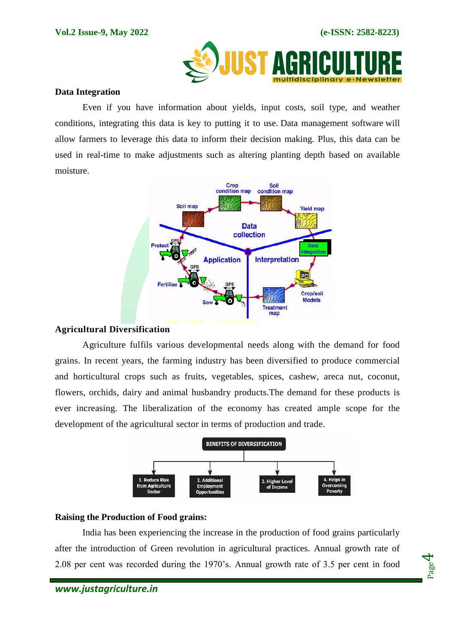

#### **Data Integration**

Even if you have information about yields, input costs, soil type, and weather conditions, integrating this data is key to putting it to use. Data [management](https://agriculture.trimble.com/solutions/data-management/) software will allow farmers to leverage this data to inform their decision making. Plus, this data can be used in real-time to make adjustments such as altering planting depth based on available moisture.



# **Agricultural Diversification**

Agriculture fulfils various developmental needs along with the demand for food grains. In recent years, the farming industry has been diversified to produce commercial and horticultural crops such as fruits, vegetables, spices, cashew, areca nut, coconut, flowers, orchids, dairy and animal husbandry products.The demand for these products is ever increasing. The liberalization of the economy has created ample scope for the development of the agricultural sector in terms of production and trade.



# **Raising the Production of Food grains:**

India has been experiencing the increase in the production of food grains particularly after the introduction of Green revolution in agricultural practices. Annual growth rate of 2.08 per cent was recorded during the 1970's. Annual growth rate of 3.5 per cent in food

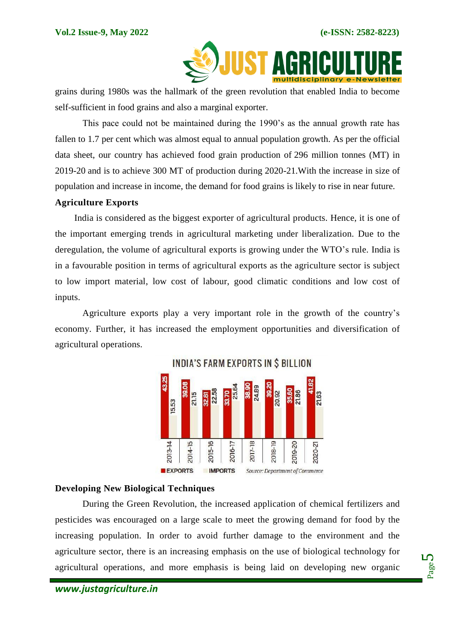

grains during 1980s was the hallmark of the green revolution that enabled India to become self-sufficient in food grains and also a marginal exporter.

This pace could not be maintained during the 1990's as the annual growth rate has fallen to 1.7 per cent which was almost equal to annual population growth. As per the official data sheet, our country has achieved food grain production of 296 million tonnes (MT) in 2019-20 and is to achieve 300 MT of production during 2020-21.With the increase in size of population and increase in income, the demand for food grains is likely to rise in near future.

# **Agriculture Exports**

 India is considered as the biggest exporter of agricultural products. Hence, it is one of the important emerging trends in agricultural marketing under liberalization. Due to the deregulation, the volume of agricultural exports is growing under the WTO's rule. India is in a favourable position in terms of agricultural exports as the agriculture sector is subject to low import material, low cost of labour, good climatic conditions and low cost of inputs.

Agriculture exports play a very important role in the growth of the country's economy. Further, it has increased the employment opportunities and diversification of agricultural operations.



INDIA'S FARM EXPORTS IN S BILLION

# **Developing New Biological Techniques**

During the Green Revolution, the increased application of chemical fertilizers and pesticides was encouraged on a large scale to meet the growing demand for food by the increasing population. In order to avoid further damage to the environment and the agriculture sector, there is an increasing emphasis on the use of biological technology for agricultural operations, and more emphasis is being laid on developing new organic